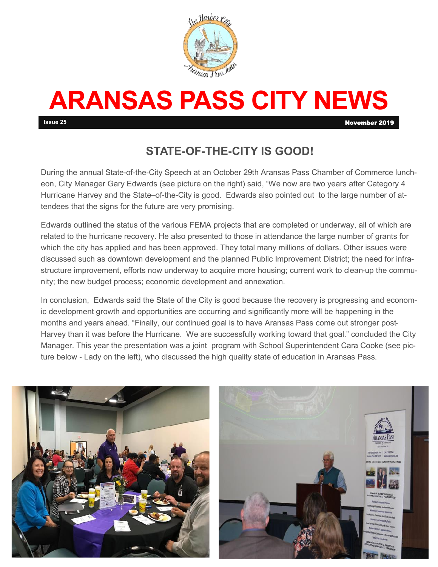

# **ARANSAS PASS CITY NEWS**

**Issue 25** November 2019

### **STATE-OF-THE-CITY IS GOOD!**

During the annual State-of-the-City Speech at an October 29th Aransas Pass Chamber of Commerce luncheon, City Manager Gary Edwards (see picture on the right) said, "We now are two years after Category 4 Hurricane Harvey and the State–of-the-City is good. Edwards also pointed out to the large number of attendees that the signs for the future are very promising.

Edwards outlined the status of the various FEMA projects that are completed or underway, all of which are related to the hurricane recovery. He also presented to those in attendance the large number of grants for which the city has applied and has been approved. They total many millions of dollars. Other issues were discussed such as downtown development and the planned Public Improvement District; the need for infrastructure improvement, efforts now underway to acquire more housing; current work to clean-up the community; the new budget process; economic development and annexation.

In conclusion, Edwards said the State of the City is good because the recovery is progressing and economic development growth and opportunities are occurring and significantly more will be happening in the months and years ahead. "Finally, our continued goal is to have Aransas Pass come out stronger post-Harvey than it was before the Hurricane. We are successfully working toward that goal." concluded the City Manager. This year the presentation was a joint program with School Superintendent Cara Cooke (see picture below - Lady on the left), who discussed the high quality state of education in Aransas Pass.

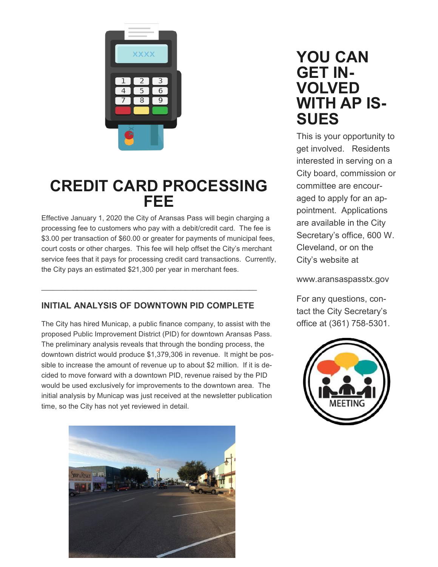

# **CREDIT CARD PROCESSING FEE**

Effective January 1, 2020 the City of Aransas Pass will begin charging a processing fee to customers who pay with a debit/credit card. The fee is \$3.00 per transaction of \$60.00 or greater for payments of municipal fees, court costs or other charges. This fee will help offset the City's merchant service fees that it pays for processing credit card transactions. Currently, the City pays an estimated \$21,300 per year in merchant fees.

#### **INITIAL ANALYSIS OF DOWNTOWN PID COMPLETE**

 $\mathcal{L}_\text{max}$  and  $\mathcal{L}_\text{max}$  and  $\mathcal{L}_\text{max}$  and  $\mathcal{L}_\text{max}$  and  $\mathcal{L}_\text{max}$  and  $\mathcal{L}_\text{max}$ 

The City has hired Municap, a public finance company, to assist with the proposed Public Improvement District (PID) for downtown Aransas Pass. The preliminary analysis reveals that through the bonding process, the downtown district would produce \$1,379,306 in revenue. It might be possible to increase the amount of revenue up to about \$2 million. If it is decided to move forward with a downtown PID, revenue raised by the PID would be used exclusively for improvements to the downtown area. The initial analysis by Municap was just received at the newsletter publication time, so the City has not yet reviewed in detail.



## **YOU CAN GET IN-VOLVED WITH AP IS-SUES**

This is your opportunity to get involved. Residents interested in serving on a City board, commission or committee are encouraged to apply for an appointment. Applications are available in the City Secretary's office, 600 W. Cleveland, or on the City's website at

www.aransaspasstx.gov

For any questions, contact the City Secretary's office at (361) 758-5301.

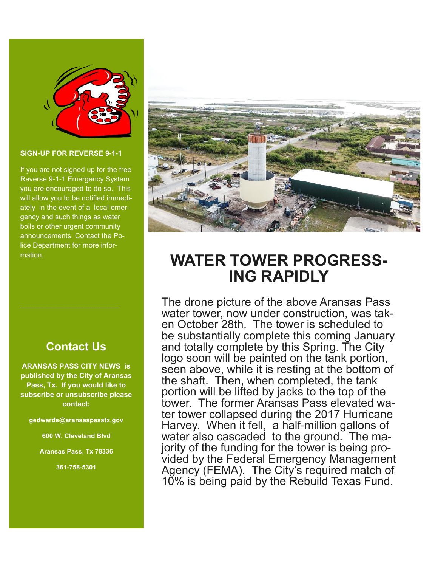

#### **SIGN-UP FOR REVERSE 9-1-1**

If you are not signed up for the free Reverse 9-1-1 Emergency System you are encouraged to do so. This will allow you to be notified immediately in the event of a local emergency and such things as water boils or other urgent community announcements. Contact the Police Department for more information.

#### **Contact Us**

 $\mathcal{L}_\text{max}$  , where  $\mathcal{L}_\text{max}$  is the set of the set of the set of the set of the set of the set of the set of the set of the set of the set of the set of the set of the set of the set of the set of the set of the se

**ARANSAS PASS CITY NEWS is published by the City of Aransas Pass, Tx. If you would like to subscribe or unsubscribe please contact:**

**gedwards@aransaspasstx.gov**

**600 W. Cleveland Blvd**

**Aransas Pass, Tx 78336**

**361-758-5301**



# **WATER TOWER PROGRESS-ING RAPIDLY**

The drone picture of the above Aransas Pass water tower, now under construction, was taken October 28th. The tower is scheduled to be substantially complete this coming January and totally complete by this Spring. The City logo soon will be painted on the tank portion, seen above, while it is resting at the bottom of the shaft. Then, when completed, the tank portion will be lifted by jacks to the top of the tower. The former Aransas Pass elevated water tower collapsed during the 2017 Hurricane Harvey. When it fell, a half-million gallons of water also cascaded to the ground. The majority of the funding for the tower is being provided by the Federal Emergency Management Agency (FEMA). The City's required match of 10% is being paid by the Rebuild Texas Fund.